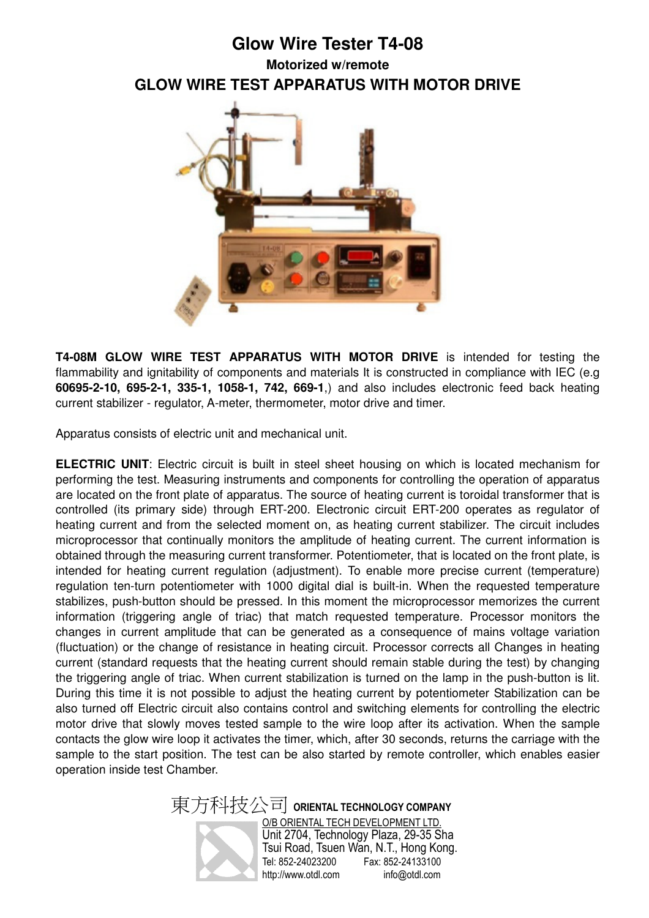## **Glow Wire Tester T4-08 Motorized w/remote GLOW WIRE TEST APPARATUS WITH MOTOR DRIVE**



**T4-08M GLOW WIRE TEST APPARATUS WITH MOTOR DRIVE** is intended for testing the flammability and ignitability of components and materials It is constructed in compliance with IEC (e.g **60695-2-10, 695-2-1, 335-1, 1058-1, 742, 669-1**,) and also includes electronic feed back heating current stabilizer - regulator, A-meter, thermometer, motor drive and timer.

Apparatus consists of electric unit and mechanical unit.

**ELECTRIC UNIT:** Electric circuit is built in steel sheet housing on which is located mechanism for performing the test. Measuring instruments and components for controlling the operation of apparatus are located on the front plate of apparatus. The source of heating current is toroidal transformer that is controlled (its primary side) through ERT-200. Electronic circuit ERT-200 operates as regulator of heating current and from the selected moment on, as heating current stabilizer. The circuit includes microprocessor that continually monitors the amplitude of heating current. The current information is obtained through the measuring current transformer. Potentiometer, that is located on the front plate, is intended for heating current regulation (adjustment). To enable more precise current (temperature) regulation ten-turn potentiometer with 1000 digital dial is built-in. When the requested temperature stabilizes, push-button should be pressed. In this moment the microprocessor memorizes the current information (triggering angle of triac) that match requested temperature. Processor monitors the changes in current amplitude that can be generated as a consequence of mains voltage variation (fluctuation) or the change of resistance in heating circuit. Processor corrects all Changes in heating current (standard requests that the heating current should remain stable during the test) by changing the triggering angle of triac. When current stabilization is turned on the lamp in the push-button is lit. During this time it is not possible to adjust the heating current by potentiometer Stabilization can be also turned off Electric circuit also contains control and switching elements for controlling the electric motor drive that slowly moves tested sample to the wire loop after its activation. When the sample contacts the glow wire loop it activates the timer, which, after 30 seconds, returns the carriage with the sample to the start position. The test can be also started by remote controller, which enables easier operation inside test Chamber.

> 東方科技公司 **ORIENTAL TECHNOLOGY COMPANY** O/B ORIENTAL TECH DEVELOPMENT LTD. Unit 2704, Technology Plaza, 29-35 Sha Tsui Road, Tsuen Wan, N.T., Hong Kong. Fax: 852-24133100 http://www.otdl.com info@otdl.com